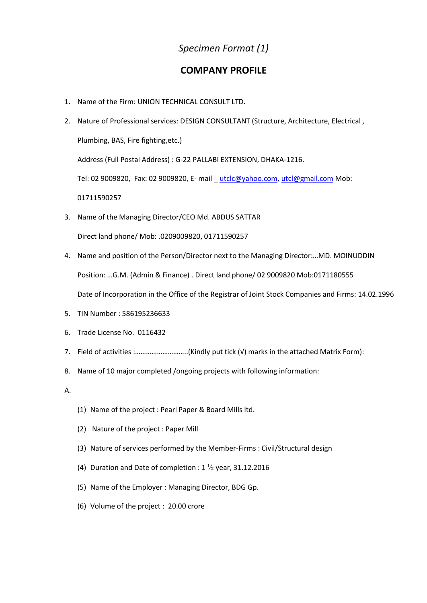## *Specimen Format (1)*

## **COMPANY PROFILE**

- 1. Name of the Firm: UNION TECHNICAL CONSULT LTD.
- 2. Nature of Professional services: DESIGN CONSULTANT (Structure, Architecture, Electrical , Plumbing, BAS, Fire fighting,etc.) Address (Full Postal Address) : G-22 PALLABI EXTENSION, DHAKA-1216.

Tel: 02 9009820, Fax: 02 9009820, E- mail utclc@yahoo.com, [utcl@gmail.com](mailto:utcl@gmail.com) Mob:

01711590257

3. Name of the Managing Director/CEO Md. ABDUS SATTAR

Direct land phone/ Mob: .0209009820, 01711590257

- 4. Name and position of the Person/Director next to the Managing Director:…MD. MOINUDDIN Position: …G.M. (Admin & Finance) . Direct land phone/ 02 9009820 Mob:0171180555 Date of Incorporation in the Office of the Registrar of Joint Stock Companies and Firms: 14.02.1996
- 5. TIN Number : 586195236633
- 6. Trade License No. 0116432
- 7. Field of activities :………………………..(Kindly put tick (√) marks in the attached Matrix Form):
- 8. Name of 10 major completed /ongoing projects with following information:

A.

- (1) Name of the project : Pearl Paper & Board Mills ltd.
- (2) Nature of the project : Paper Mill
- (3) Nature of services performed by the Member-Firms : Civil/Structural design
- (4) Duration and Date of completion :  $1\frac{1}{2}$  year, 31.12.2016
- (5) Name of the Employer : Managing Director, BDG Gp.
- (6) Volume of the project : 20.00 crore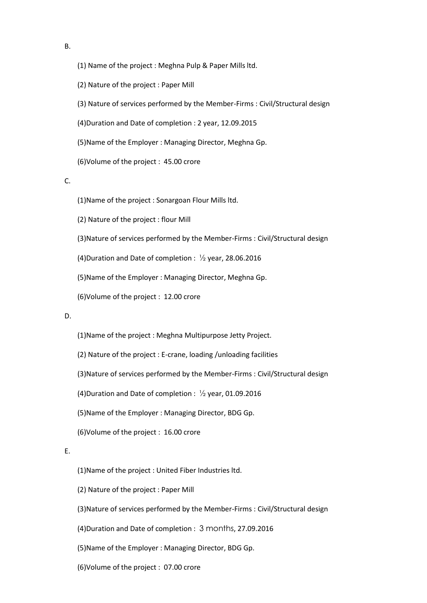- (1) Name of the project : Meghna Pulp & Paper Mills ltd.
- (2) Nature of the project : Paper Mill
- (3) Nature of services performed by the Member-Firms : Civil/Structural design
- (4)Duration and Date of completion : 2 year, 12.09.2015
- (5)Name of the Employer : Managing Director, Meghna Gp.
- (6)Volume of the project : 45.00 crore

C.

- (1)Name of the project : Sonargoan Flour Mills ltd.
- (2) Nature of the project : flour Mill
- (3)Nature of services performed by the Member-Firms : Civil/Structural design
- (4)Duration and Date of completion :  $\frac{1}{2}$  year, 28.06.2016
- (5)Name of the Employer : Managing Director, Meghna Gp.
- (6)Volume of the project : 12.00 crore

### D.

- (1)Name of the project : Meghna Multipurpose Jetty Project.
- (2) Nature of the project : E-crane, loading /unloading facilities
- (3)Nature of services performed by the Member-Firms : Civil/Structural design
- (4)Duration and Date of completion :  $\frac{1}{2}$  year, 01.09.2016
- (5)Name of the Employer : Managing Director, BDG Gp.
- (6)Volume of the project : 16.00 crore

## E.

- (1)Name of the project : United Fiber Industries ltd.
- (2) Nature of the project : Paper Mill
- (3)Nature of services performed by the Member-Firms : Civil/Structural design
- (4)Duration and Date of completion : 3 months, 27.09.2016
- (5)Name of the Employer : Managing Director, BDG Gp.
- (6)Volume of the project : 07.00 crore

B.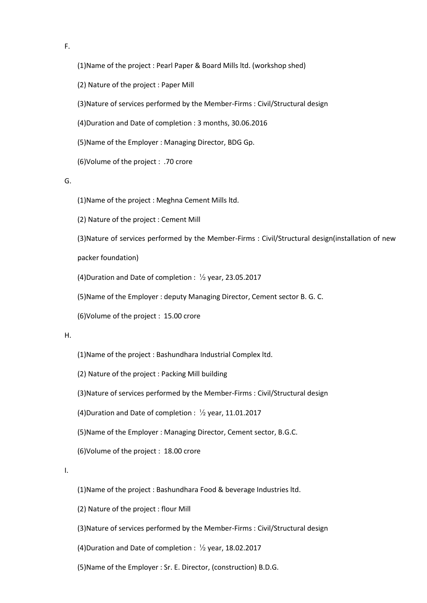F.

(1)Name of the project : Pearl Paper & Board Mills ltd. (workshop shed)

(2) Nature of the project : Paper Mill

(3)Nature of services performed by the Member-Firms : Civil/Structural design

(4)Duration and Date of completion : 3 months, 30.06.2016

(5)Name of the Employer : Managing Director, BDG Gp.

(6)Volume of the project : .70 crore

G.

(1)Name of the project : Meghna Cement Mills ltd.

(2) Nature of the project : Cement Mill

(3)Nature of services performed by the Member-Firms : Civil/Structural design(installation of new

packer foundation)

(4)Duration and Date of completion : ½ year, 23.05.2017

(5)Name of the Employer : deputy Managing Director, Cement sector B. G. C.

(6)Volume of the project : 15.00 crore

#### H.

(1)Name of the project : Bashundhara Industrial Complex ltd.

(2) Nature of the project : Packing Mill building

(3)Nature of services performed by the Member-Firms : Civil/Structural design

(4)Duration and Date of completion : ½ year, 11.01.2017

(5)Name of the Employer : Managing Director, Cement sector, B.G.C.

(6)Volume of the project : 18.00 crore

I.

(1)Name of the project : Bashundhara Food & beverage Industries ltd.

(2) Nature of the project : flour Mill

(3)Nature of services performed by the Member-Firms : Civil/Structural design

(4)Duration and Date of completion :  $\frac{1}{2}$  year, 18.02.2017

(5)Name of the Employer : Sr. E. Director, (construction) B.D.G.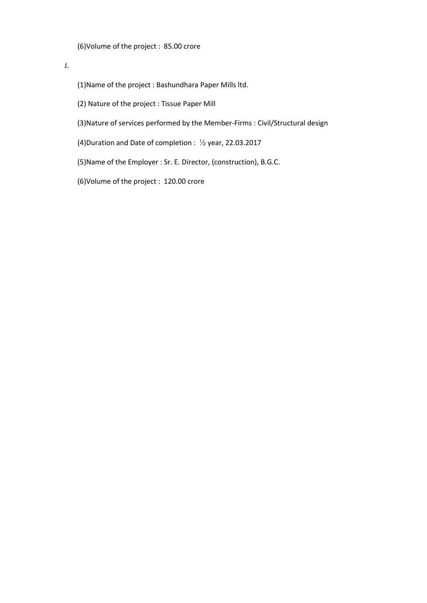(6)Volume of the project : 85.00 crore

J.

(1)Name of the project : Bashundhara Paper Mills ltd.

(2) Nature of the project : Tissue Paper Mill

(3)Nature of services performed by the Member-Firms : Civil/Structural design

(4)Duration and Date of completion :  $\frac{1}{2}$  year, 22.03.2017

(5)Name of the Employer : Sr. E. Director, (construction), B.G.C.

(6)Volume of the project : 120.00 crore